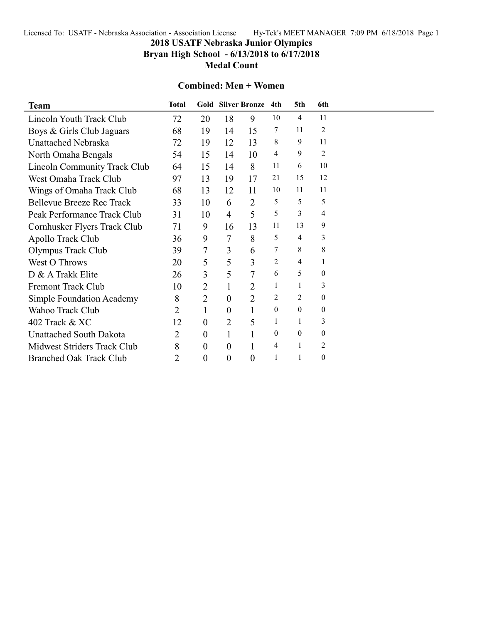Licensed To: USATF - Nebraska Association - Association License Hy-Tek's MEET MANAGER 7:09 PM 6/18/2018 Page 1

# **2018 USATF Nebraska Junior Olympics**

**Bryan High School - 6/13/2018 to 6/17/2018**

**Medal Count**

#### **Combined: Men + Women**

| <b>Team</b>                      | <b>Total</b> |                  |                  | <b>Gold Silver Bronze</b> | 4th      | 5th              | 6th              |  |
|----------------------------------|--------------|------------------|------------------|---------------------------|----------|------------------|------------------|--|
| Lincoln Youth Track Club         | 72           | 20               | 18               | 9                         | 10       | 4                | 11               |  |
| Boys & Girls Club Jaguars        | 68           | 19               | 14               | 15                        | 7        | 11               | $\overline{2}$   |  |
| <b>Unattached Nebraska</b>       | 72           | 19               | 12               | 13                        | 8        | 9                | 11               |  |
| North Omaha Bengals              | 54           | 15               | 14               | 10                        | 4        | 9                | 2                |  |
| Lincoln Community Track Club     | 64           | 15               | 14               | 8                         | 11       | 6                | 10               |  |
| West Omaha Track Club            | 97           | 13               | 19               | 17                        | 21       | 15               | 12               |  |
| Wings of Omaha Track Club        | 68           | 13               | 12               | 11                        | 10       | 11               | 11               |  |
| <b>Bellevue Breeze Rec Track</b> | 33           | 10               | 6                | $\overline{2}$            | 5        | 5                | 5                |  |
| Peak Performance Track Club      | 31           | 10               | $\overline{4}$   | 5                         | 5        | 3                | 4                |  |
| Cornhusker Flyers Track Club     | 71           | 9                | 16               | 13                        | 11       | 13               | 9                |  |
| Apollo Track Club                | 36           | 9                | 7                | 8                         | 5        | $\overline{4}$   | 3                |  |
| Olympus Track Club               | 39           | 7                | 3                | 6                         | 7        | 8                | $\,$ 8 $\,$      |  |
| West O Throws                    | 20           | 5                | 5                | 3                         | 2        | 4                | $\mathbf{1}$     |  |
| D & A Trakk Elite                | 26           | 3                | 5                | 7                         | 6        | 5                | $\boldsymbol{0}$ |  |
| <b>Fremont Track Club</b>        | 10           | $\overline{2}$   | $\mathbf{1}$     | $\overline{2}$            | 1        | 1                | 3                |  |
| <b>Simple Foundation Academy</b> | 8            | $\overline{2}$   | $\theta$         | $\overline{2}$            | 2        | 2                | $\boldsymbol{0}$ |  |
| <b>Wahoo Track Club</b>          | 2            | $\mathbf{1}$     | $\theta$         | 1                         | $\theta$ | $\boldsymbol{0}$ | $\boldsymbol{0}$ |  |
| 402 Track & XC                   | 12           | $\boldsymbol{0}$ | 2                | 5                         | 1        | 1                | 3                |  |
| <b>Unattached South Dakota</b>   | 2            | $\boldsymbol{0}$ | 1                |                           | $\theta$ | $\mathbf{0}$     | $\boldsymbol{0}$ |  |
| Midwest Striders Track Club      | 8            | $\boldsymbol{0}$ | $\boldsymbol{0}$ |                           | 4        | 1                | $\overline{c}$   |  |
| <b>Branched Oak Track Club</b>   | 2            | $\boldsymbol{0}$ | $\overline{0}$   | $\overline{0}$            | 1        | 1                | $\boldsymbol{0}$ |  |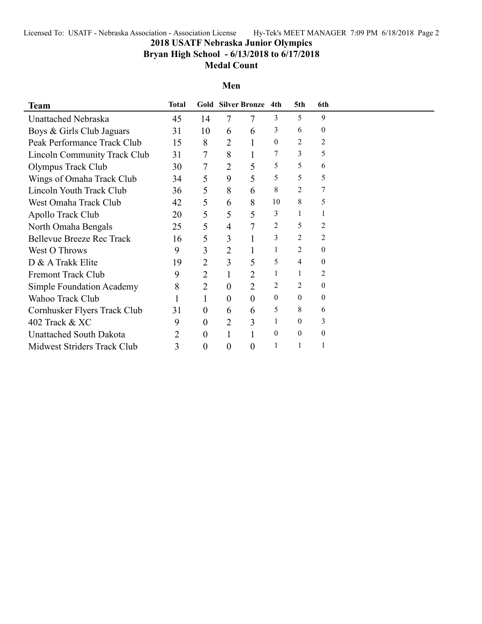Licensed To: USATF - Nebraska Association - Association License Hy-Tek's MEET MANAGER 7:09 PM 6/18/2018 Page 2

# **2018 USATF Nebraska Junior Olympics**

### **Bryan High School - 6/13/2018 to 6/17/2018**

### **Medal Count**

#### **Men**

| <b>Team</b>                         | <b>Total</b> |                  |                | <b>Gold Silver Bronze</b> | 4th            | 5th              | 6th              |  |
|-------------------------------------|--------------|------------------|----------------|---------------------------|----------------|------------------|------------------|--|
| Unattached Nebraska                 | 45           | 14               | 7              | 7                         | 3              | 5                | 9                |  |
| Boys & Girls Club Jaguars           | 31           | 10               | 6              | 6                         | 3              | 6                | $\overline{0}$   |  |
| Peak Performance Track Club         | 15           | 8                | $\overline{2}$ |                           | $\mathbf{0}$   | 2                | $\overline{c}$   |  |
| <b>Lincoln Community Track Club</b> | 31           | 7                | 8              |                           |                | 3                | 5                |  |
| Olympus Track Club                  | 30           | 7                | 2              | 5                         | 5              | 5                | 6                |  |
| Wings of Omaha Track Club           | 34           | 5                | 9              | 5                         | 5              | 5                | 5                |  |
| Lincoln Youth Track Club            | 36           | 5                | 8              | 6                         | 8              | 2                | 7                |  |
| West Omaha Track Club               | 42           | 5                | 6              | 8                         | 10             | 8                | 5                |  |
| Apollo Track Club                   | 20           | 5                | 5              | 5                         | 3              |                  |                  |  |
| North Omaha Bengals                 | 25           | 5                | 4              | 7                         | 2              | 5                | 2                |  |
| <b>Bellevue Breeze Rec Track</b>    | 16           | 5                | 3              |                           | 3              | 2                | 2                |  |
| West O Throws                       | 9            | 3                | $\overline{2}$ |                           | 1              | 2                | $\overline{0}$   |  |
| D & A Trakk Elite                   | 19           | 2                | 3              | 5                         | 5              | $\overline{4}$   | $\theta$         |  |
| <b>Fremont Track Club</b>           | 9            | 2                |                | $\overline{2}$            | 1              |                  | 2                |  |
| Simple Foundation Academy           | 8            | $\overline{2}$   | 0              | $\overline{2}$            | $\overline{2}$ | 2                | $\mathbf{0}$     |  |
| Wahoo Track Club                    |              | 1                | $\overline{0}$ | $\theta$                  | $\mathbf{0}$   | $\overline{0}$   | $\boldsymbol{0}$ |  |
| Cornhusker Flyers Track Club        | 31           | $\boldsymbol{0}$ | 6              | 6                         | 5              | 8                | 6                |  |
| 402 Track & XC                      | 9            | $\boldsymbol{0}$ | $\overline{2}$ | 3                         | 1              | $\boldsymbol{0}$ | 3                |  |
| <b>Unattached South Dakota</b>      | 2            | $\boldsymbol{0}$ |                |                           | $\mathbf{0}$   | $\boldsymbol{0}$ | 0                |  |
| Midwest Striders Track Club         | 3            | $\boldsymbol{0}$ | $\overline{0}$ | $\theta$                  | 1              |                  |                  |  |